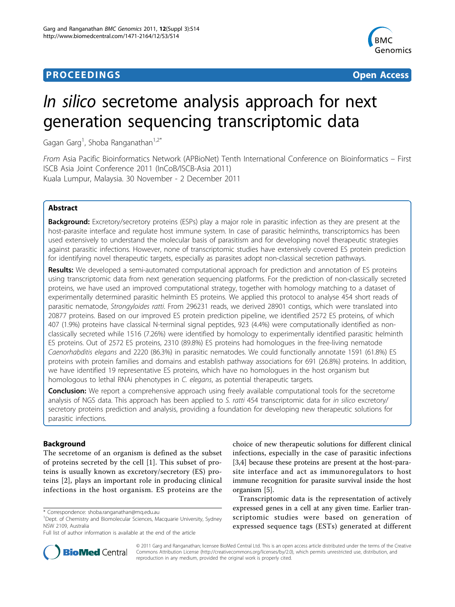## **PROCEEDINGS CONSUMING S** Open Access **CONSUMING S**



# In silico secretome analysis approach for next generation sequencing transcriptomic data

Gagan Garg<sup>1</sup>, Shoba Ranganathan<sup>1,2\*</sup>

From Asia Pacific Bioinformatics Network (APBioNet) Tenth International Conference on Bioinformatics – First ISCB Asia Joint Conference 2011 (InCoB/ISCB-Asia 2011) Kuala Lumpur, Malaysia. 30 November - 2 December 2011

## Abstract

Background: Excretory/secretory proteins (ESPs) play a major role in parasitic infection as they are present at the host-parasite interface and regulate host immune system. In case of parasitic helminths, transcriptomics has been used extensively to understand the molecular basis of parasitism and for developing novel therapeutic strategies against parasitic infections. However, none of transcriptomic studies have extensively covered ES protein prediction for identifying novel therapeutic targets, especially as parasites adopt non-classical secretion pathways.

Results: We developed a semi-automated computational approach for prediction and annotation of ES proteins using transcriptomic data from next generation sequencing platforms. For the prediction of non-classically secreted proteins, we have used an improved computational strategy, together with homology matching to a dataset of experimentally determined parasitic helminth ES proteins. We applied this protocol to analyse 454 short reads of parasitic nematode, Strongyloides ratti. From 296231 reads, we derived 28901 contigs, which were translated into 20877 proteins. Based on our improved ES protein prediction pipeline, we identified 2572 ES proteins, of which 407 (1.9%) proteins have classical N-terminal signal peptides, 923 (4.4%) were computationally identified as nonclassically secreted while 1516 (7.26%) were identified by homology to experimentally identified parasitic helminth ES proteins. Out of 2572 ES proteins, 2310 (89.8%) ES proteins had homologues in the free-living nematode Caenorhabditis elegans and 2220 (86.3%) in parasitic nematodes. We could functionally annotate 1591 (61.8%) ES proteins with protein families and domains and establish pathway associations for 691 (26.8%) proteins. In addition, we have identified 19 representative ES proteins, which have no homologues in the host organism but homologous to lethal RNAi phenotypes in C. elegans, as potential therapeutic targets.

**Conclusion:** We report a comprehensive approach using freely available computational tools for the secretome analysis of NGS data. This approach has been applied to S. ratti 454 transcriptomic data for in silico excretory/ secretory proteins prediction and analysis, providing a foundation for developing new therapeutic solutions for parasitic infections.

## Background

The secretome of an organism is defined as the subset of proteins secreted by the cell [[1](#page-7-0)]. This subset of proteins is usually known as excretory/secretory (ES) proteins [[2\]](#page-7-0), plays an important role in producing clinical infections in the host organism. ES proteins are the choice of new therapeutic solutions for different clinical infections, especially in the case of parasitic infections [[3,4\]](#page-7-0) because these proteins are present at the host-parasite interface and act as immunoregulators to host immune recognition for parasite survival inside the host organism [[5\]](#page-8-0).

Transcriptomic data is the representation of actively expressed genes in a cell at any given time. Earlier transcriptomic studies were based on generation of expressed sequence tags (ESTs) generated at different



© 2011 Garg and Ranganathan; licensee BioMed Central Ltd. This is an open access article distributed under the terms of the Creative Commons Attribution License [\(http://creativecommons.org/licenses/by/2.0](http://creativecommons.org/licenses/by/2.0)), which permits unrestricted use, distribution, and reproduction in any medium, provided the original work is properly cited.

<sup>\*</sup> Correspondence: [shoba.ranganathan@mq.edu.au](mailto:shoba.ranganathan@mq.edu.au)

<sup>&</sup>lt;sup>1</sup>Dept. of Chemistry and Biomolecular Sciences, Macquarie University, Sydney NSW 2109, Australia

Full list of author information is available at the end of the article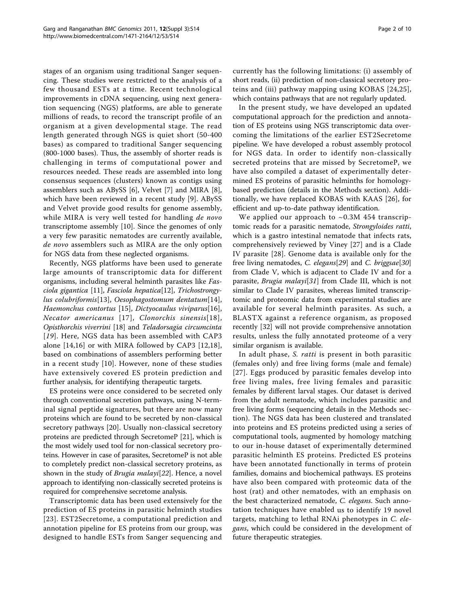stages of an organism using traditional Sanger sequencing. These studies were restricted to the analysis of a few thousand ESTs at a time. Recent technological improvements in cDNA sequencing, using next generation sequencing (NGS) platforms, are able to generate millions of reads, to record the transcript profile of an organism at a given developmental stage. The read length generated through NGS is quiet short (50-400 bases) as compared to traditional Sanger sequencing (800-1000 bases). Thus, the assembly of shorter reads is challenging in terms of computational power and resources needed. These reads are assembled into long consensus sequences (clusters) known as contigs using assemblers such as ABySS [\[6](#page-8-0)], Velvet [\[7](#page-8-0)] and MIRA [\[8](#page-8-0)], which have been reviewed in a recent study [[9\]](#page-8-0). ABySS and Velvet provide good results for genome assembly, while MIRA is very well tested for handling *de novo* transcriptome assembly [\[10](#page-8-0)]. Since the genomes of only a very few parasitic nematodes are currently available, de novo assemblers such as MIRA are the only option for NGS data from these neglected organisms.

Recently, NGS platforms have been used to generate large amounts of transcriptomic data for different organisms, including several helminth parasites like Fasciola gigantica [[11\]](#page-8-0), Fasciola hepatica[12], Trichostrongylus colubriformis[13], Oesophagostomum dentatum[14], Haemonchus contortus [\[15](#page-8-0)], Dictyocaulus viviparus[16], Necator americanus [[17\]](#page-8-0), Clonorchis sinensis[18], Opisthorchis viverrini [\[18](#page-8-0)] and Teladorsagia circumcinta [19]. Here, NGS data has been assembled with CAP3 alone [[14,16](#page-8-0)] or with MIRA followed by CAP3 [[12,18](#page-8-0)], based on combinations of assemblers performing better in a recent study [\[10\]](#page-8-0). However, none of these studies have extensively covered ES protein prediction and further analysis, for identifying therapeutic targets.

ES proteins were once considered to be secreted only through conventional secretion pathways, using N-terminal signal peptide signatures, but there are now many proteins which are found to be secreted by non-classical secretory pathways [[20\]](#page-8-0). Usually non-classical secretory proteins are predicted through SecretomeP [[21\]](#page-8-0), which is the most widely used tool for non-classical secretory proteins. However in case of parasites, SecretomeP is not able to completely predict non-classical secretory proteins, as shown in the study of Brugia malayi[22]. Hence, a novel approach to identifying non-classically secreted proteins is required for comprehensive secretome analysis.

Transcriptomic data has been used extensively for the prediction of ES proteins in parasitic helminth studies [[23\]](#page-8-0). EST2Secretome, a computational prediction and annotation pipeline for ES proteins from our group, was designed to handle ESTs from Sanger sequencing and currently has the following limitations: (i) assembly of short reads, (ii) prediction of non-classical secretory proteins and (iii) pathway mapping using KOBAS [[24](#page-8-0),[25\]](#page-8-0), which contains pathways that are not regularly updated.

In the present study, we have developed an updated computational approach for the prediction and annotation of ES proteins using NGS transcriptomic data overcoming the limitations of the earlier EST2Secretome pipeline. We have developed a robust assembly protocol for NGS data. In order to identify non-classically secreted proteins that are missed by SecretomeP, we have also compiled a dataset of experimentally determined ES proteins of parasitic helminths for homologybased prediction (details in the Methods section). Additionally, we have replaced KOBAS with KAAS [[26\]](#page-8-0), for efficient and up-to-date pathway identification.

We applied our approach to  $\sim 0.3M$  454 transcriptomic reads for a parasitic nematode, Strongyloides ratti, which is a gastro intestinal nematode that infects rats, comprehensively reviewed by Viney [[27\]](#page-8-0) and is a Clade IV parasite [\[28](#page-8-0)]. Genome data is available only for the free living nematodes, C. elegans[29] and C. briggsae[30] from Clade V, which is adjacent to Clade IV and for a parasite, Brugia malayi[31] from Clade III, which is not similar to Clade IV parasites, whereas limited transcriptomic and proteomic data from experimental studies are available for several helminth parasites. As such, a BLASTX against a reference organism, as proposed recently [[32\]](#page-8-0) will not provide comprehensive annotation results, unless the fully annotated proteome of a very similar organism is available.

In adult phase, S. ratti is present in both parasitic (females only) and free living forms (male and female) [[27\]](#page-8-0). Eggs produced by parasitic females develop into free living males, free living females and parasitic females by different larval stages. Our dataset is derived from the adult nematode, which includes parasitic and free living forms (sequencing details in the Methods section). The NGS data has been clustered and translated into proteins and ES proteins predicted using a series of computational tools, augmented by homology matching to our in-house dataset of experimentally determined parasitic helminth ES proteins. Predicted ES proteins have been annotated functionally in terms of protein families, domains and biochemical pathways. ES proteins have also been compared with proteomic data of the host (rat) and other nematodes, with an emphasis on the best characterized nematode, C. elegans. Such annotation techniques have enabled us to identify 19 novel targets, matching to lethal RNAi phenotypes in C. elegans, which could be considered in the development of future therapeutic strategies.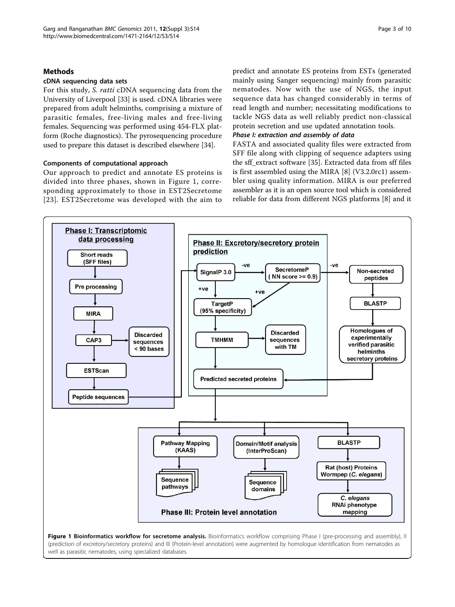### <span id="page-2-0"></span>Methods

### cDNA sequencing data sets

For this study, S. ratti cDNA sequencing data from the University of Liverpool [\[33](#page-8-0)] is used. cDNA libraries were prepared from adult helminths, comprising a mixture of parasitic females, free-living males and free-living females. Sequencing was performed using 454-FLX platform (Roche diagnostics). The pyrosequencing procedure used to prepare this dataset is described elsewhere [[34\]](#page-8-0).

### Components of computational approach

Our approach to predict and annotate ES proteins is divided into three phases, shown in Figure 1, corresponding approximately to those in EST2Secretome [[23\]](#page-8-0). EST2Secretome was developed with the aim to predict and annotate ES proteins from ESTs (generated mainly using Sanger sequencing) mainly from parasitic nematodes. Now with the use of NGS, the input sequence data has changed considerably in terms of read length and number; necessitating modifications to tackle NGS data as well reliably predict non-classical protein secretion and use updated annotation tools.

## Phase I: extraction and assembly of data

FASTA and associated quality files were extracted from SFF file along with clipping of sequence adapters using the sff\_extract software [[35\]](#page-8-0). Extracted data from sff files is first assembled using the MIRA [[8\]](#page-8-0) (V3.2.0rc1) assembler using quality information. MIRA is our preferred assembler as it is an open source tool which is considered reliable for data from different NGS platforms [\[8](#page-8-0)] and it

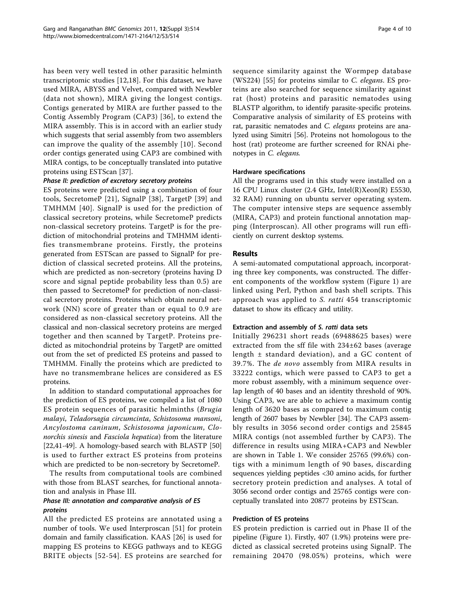has been very well tested in other parasitic helminth transcriptomic studies [\[12](#page-8-0),[18\]](#page-8-0). For this dataset, we have used MIRA, ABYSS and Velvet, compared with Newbler (data not shown), MIRA giving the longest contigs. Contigs generated by MIRA are further passed to the Contig Assembly Program (CAP3) [[36\]](#page-8-0), to extend the MIRA assembly. This is in accord with an earlier study which suggests that serial assembly from two assemblers can improve the quality of the assembly [[10](#page-8-0)]. Second order contigs generated using CAP3 are combined with MIRA contigs, to be conceptually translated into putative proteins using ESTScan [[37\]](#page-8-0).

#### Phase II: prediction of excretory secretory proteins

ES proteins were predicted using a combination of four tools, SecretomeP [\[21](#page-8-0)], SignalP [[38](#page-8-0)], TargetP [[39](#page-8-0)] and TMHMM [[40\]](#page-8-0). SignalP is used for the prediction of classical secretory proteins, while SecretomeP predicts non-classical secretory proteins. TargetP is for the prediction of mitochondrial proteins and TMHMM identifies transmembrane proteins. Firstly, the proteins generated from ESTScan are passed to SignalP for prediction of classical secreted proteins. All the proteins, which are predicted as non-secretory (proteins having D score and signal peptide probability less than 0.5) are then passed to SecretomeP for prediction of non-classical secretory proteins. Proteins which obtain neural network (NN) score of greater than or equal to 0.9 are considered as non-classical secretory proteins. All the classical and non-classical secretory proteins are merged together and then scanned by TargetP. Proteins predicted as mitochondrial proteins by TargetP are omitted out from the set of predicted ES proteins and passed to TMHMM. Finally the proteins which are predicted to have no transmembrane helices are considered as ES proteins.

In addition to standard computational approaches for the prediction of ES proteins, we compiled a list of 1080 ES protein sequences of parasitic helminths (Brugia malayi, Teladorsagia circumcinta, Schistosoma mansoni, Ancylostoma caninum, Schistosoma japonicum, Clonorchis sinesis and Fasciola hepatica) from the literature [[22,41](#page-8-0)[-49](#page-9-0)]. A homology-based search with BLASTP [[50](#page-9-0)] is used to further extract ES proteins from proteins which are predicted to be non-secretory by SecretomeP.

The results from computational tools are combined with those from BLAST searches, for functional annotation and analysis in Phase III.

## Phase III: annotation and comparative analysis of ES proteins

All the predicted ES proteins are annotated using a number of tools. We used Interproscan [[51\]](#page-9-0) for protein domain and family classification. KAAS [[26\]](#page-8-0) is used for mapping ES proteins to KEGG pathways and to KEGG BRITE objects [[52-54](#page-9-0)]. ES proteins are searched for sequence similarity against the Wormpep database (WS224) [[55\]](#page-9-0) for proteins similar to C. elegans. ES proteins are also searched for sequence similarity against rat (host) proteins and parasitic nematodes using BLASTP algorithm, to identify parasite-specific proteins. Comparative analysis of similarity of ES proteins with rat, parasitic nematodes and C. elegans proteins are analyzed using Simitri [\[56\]](#page-9-0). Proteins not homologous to the host (rat) proteome are further screened for RNAi phenotypes in C. elegans.

## Hardware specifications

All the programs used in this study were installed on a 16 CPU Linux cluster (2.4 GHz, Intel(R)Xeon(R) E5530, 32 RAM) running on ubuntu server operating system. The computer intensive steps are sequence assembly (MIRA, CAP3) and protein functional annotation mapping (Interproscan). All other programs will run efficiently on current desktop systems.

## Results

A semi-automated computational approach, incorporating three key components, was constructed. The different components of the workflow system (Figure [1\)](#page-2-0) are linked using Perl, Python and bash shell scripts. This approach was applied to S. ratti 454 transcriptomic dataset to show its efficacy and utility.

### Extraction and assembly of S. ratti data sets

Initially 296231 short reads (69488625 bases) were extracted from the sff file with 234±62 bases (average length ± standard deviation), and a GC content of 39.7%. The de novo assembly from MIRA results in 33222 contigs, which were passed to CAP3 to get a more robust assembly, with a minimum sequence overlap length of 40 bases and an identity threshold of 90%. Using CAP3, we are able to achieve a maximum contig length of 3620 bases as compared to maximum contig length of 2607 bases by Newbler [[34](#page-8-0)]. The CAP3 assembly results in 3056 second order contigs and 25845 MIRA contigs (not assembled further by CAP3). The difference in results using MIRA+CAP3 and Newbler are shown in Table [1.](#page-4-0) We consider 25765 (99.6%) contigs with a minimum length of 90 bases, discarding sequences yielding peptides <30 amino acids, for further secretory protein prediction and analyses. A total of 3056 second order contigs and 25765 contigs were conceptually translated into 20877 proteins by ESTScan.

### Prediction of ES proteins

ES protein prediction is carried out in Phase II of the pipeline (Figure [1](#page-2-0)). Firstly, 407 (1.9%) proteins were predicted as classical secreted proteins using SignalP. The remaining 20470 (98.05%) proteins, which were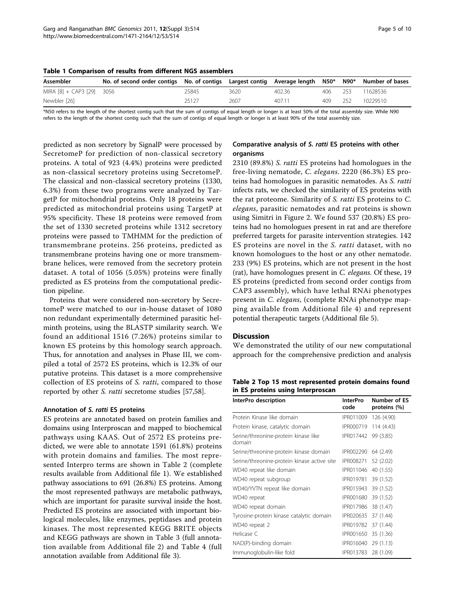| Assembler                 | No. of second order contigs No. of contigs Largest contig Average length N50* N90* Number of bases |       |      |        |      |       |          |
|---------------------------|----------------------------------------------------------------------------------------------------|-------|------|--------|------|-------|----------|
| MIRA [8] + CAP3 [29] 3056 |                                                                                                    | 25845 | 3620 | 402.36 | 406. | 253   | 11628536 |
| Newbler [26]              |                                                                                                    | 25127 | 2607 | 407.11 | 409  | - 252 | 10229510 |

<span id="page-4-0"></span>Table 1 Comparison of results from different NGS assemblers

\*N50 refers to the length of the shortest contig such that the sum of contigs of equal length or longer is at least 50% of the total assembly size. While N90 refers to the length of the shortest contig such that the sum of contigs of equal length or longer is at least 90% of the total assembly size.

predicted as non secretory by SignalP were processed by SecretomeP for prediction of non-classical secretory proteins. A total of 923 (4.4%) proteins were predicted as non-classical secretory proteins using SecretomeP. The classical and non-classical secretory proteins (1330, 6.3%) from these two programs were analyzed by TargetP for mitochondrial proteins. Only 18 proteins were predicted as mitochondrial proteins using TargetP at 95% specificity. These 18 proteins were removed from the set of 1330 secreted proteins while 1312 secretory proteins were passed to TMHMM for the prediction of transmembrane proteins. 256 proteins, predicted as transmembrane proteins having one or more transmembrane helices, were removed from the secretory protein dataset. A total of 1056 (5.05%) proteins were finally predicted as ES proteins from the computational prediction pipeline.

Proteins that were considered non-secretory by SecretomeP were matched to our in-house dataset of 1080 non redundant experimentally determined parasitic helminth proteins, using the BLASTP similarity search. We found an additional 1516 (7.26%) proteins similar to known ES proteins by this homology search approach. Thus, for annotation and analyses in Phase III, we compiled a total of 2572 ES proteins, which is 12.3% of our putative proteins. This dataset is a more comprehensive collection of ES proteins of S. ratti, compared to those reported by other S. ratti secretome studies [\[57,58](#page-9-0)].

#### Annotation of S. ratti ES proteins

ES proteins are annotated based on protein families and domains using Interproscan and mapped to biochemical pathways using KAAS. Out of 2572 ES proteins predicted, we were able to annotate 1591 (61.8%) proteins with protein domains and families. The most represented Interpro terms are shown in Table 2 (complete results available from Additional file [1](#page-7-0)). We established pathway associations to 691 (26.8%) ES proteins. Among the most represented pathways are metabolic pathways, which are important for parasite survival inside the host. Predicted ES proteins are associated with important biological molecules, like enzymes, peptidases and protein kinases. The most represented KEGG BRITE objects and KEGG pathways are shown in Table [3](#page-5-0) (full annotation available from Additional file [2](#page-7-0)) and Table [4](#page-5-0) (full annotation available from Additional file [3](#page-7-0)).

#### Comparative analysis of S. ratti ES proteins with other organisms

2310 (89.8%) S. ratti ES proteins had homologues in the free-living nematode, C. elegans. 2220 (86.3%) ES proteins had homologues in parasitic nematodes. As S. ratti infects rats, we checked the similarity of ES proteins with the rat proteome. Similarity of S. *ratti* ES proteins to C. elegans, parasitic nematodes and rat proteins is shown using Simitri in Figure [2](#page-6-0). We found 537 (20.8%) ES proteins had no homologues present in rat and are therefore preferred targets for parasite intervention strategies. 142 ES proteins are novel in the S. ratti dataset, with no known homologues to the host or any other nematode. 233 (9%) ES proteins, which are not present in the host (rat), have homologues present in C. elegans. Of these, 19 ES proteins (predicted from second order contigs from CAP3 assembly), which have lethal RNAi phenotypes present in C. elegans, (complete RNAi phenotype mapping available from Additional file [4\)](#page-7-0) and represent potential therapeutic targets (Additional file [5](#page-7-0)).

#### **Discussion**

We demonstrated the utility of our new computational approach for the comprehensive prediction and analysis

| Table 2 Top 15 most represented protein domains found |  |
|-------------------------------------------------------|--|
| in ES proteins using Interproscan                     |  |

| InterPro description                           | InterPro<br>code    | Number of ES<br>proteins (%) |
|------------------------------------------------|---------------------|------------------------------|
| Protein Kinase like domain                     | IPR011009           | 126 (4.90)                   |
| Protein kinase, catalytic domain               | IPR000719           | 114 (4.43)                   |
| Serine/threonine-protein kinase like<br>domain | IPR017442 99 (3.85) |                              |
| Serine/threonine-protein kinase domain         | IPR002290           | 64 (2.49)                    |
| Serine/threonine-protein kinase active site    | IPR008271           | 52 (2.02)                    |
| WD40 repeat like domain                        | IPR011046           | 40 (1.55)                    |
| WD40 repeat subgroup                           | <b>IPR019781</b>    | 39 (1.52)                    |
| WD40/YVTN repeat like domain                   | IPR015943           | 39 (1.52)                    |
| WD40 repeat                                    | IPR001680           | 39 (1.52)                    |
| WD40 repeat domain                             | IPR017986           | 38 (1.47)                    |
| Tyrosine-protein kinase catalytic domain       | IPR020635           | 37 (1.44)                    |
| WD40 repeat 2                                  | <b>IPR019782</b>    | 37 (1.44)                    |
| Helicase C                                     | <b>IPR001650</b>    | 35 (1.36)                    |
| NAD(P)-binding domain                          | IPR016040 29 (1.13) |                              |
| Immunoglobulin-like fold                       | IPR013783 28 (1.09) |                              |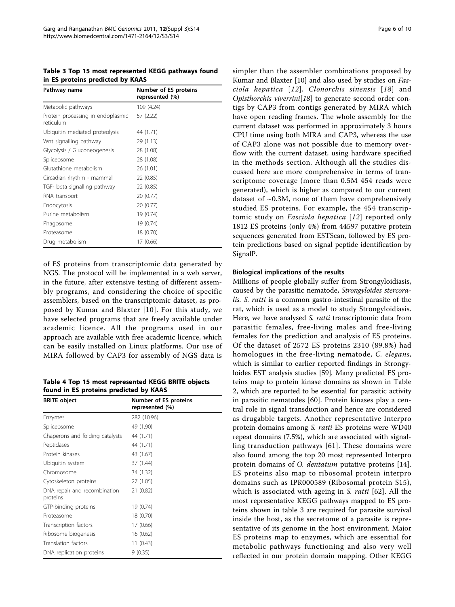<span id="page-5-0"></span>Table 3 Top 15 most represented KEGG pathways found in ES proteins predicted by KAAS

| Pathway name                                   | Number of ES proteins<br>represented (%) |  |  |
|------------------------------------------------|------------------------------------------|--|--|
| Metabolic pathways                             | 109 (4.24)                               |  |  |
| Protein processing in endoplasmic<br>reticulum | 57 (2.22)                                |  |  |
| Ubiquitin mediated proteolysis                 | 44 (1.71)                                |  |  |
| Wnt signalling pathway                         | 29 (1.13)                                |  |  |
| Glycolysis / Gluconeogenesis                   | 28 (1.08)                                |  |  |
| Spliceosome                                    | 28 (1.08)                                |  |  |
| Glutathione metabolism                         | 26 (1.01)                                |  |  |
| Circadian rhythm - mammal                      | 22 (0.85)                                |  |  |
| TGF- beta signalling pathway                   | 22 (0.85)                                |  |  |
| RNA transport                                  | 20 (0.77)                                |  |  |
| Endocytosis                                    | 20 (0.77)                                |  |  |
| Purine metabolism                              | 19 (0.74)                                |  |  |
| Phagosome                                      | 19 (0.74)                                |  |  |
| Proteasome                                     | 18 (0.70)                                |  |  |
| Drug metabolism                                | 17 (0.66)                                |  |  |

of ES proteins from transcriptomic data generated by NGS. The protocol will be implemented in a web server, in the future, after extensive testing of different assembly programs, and considering the choice of specific assemblers, based on the transcriptomic dataset, as proposed by Kumar and Blaxter [[10](#page-8-0)]. For this study, we have selected programs that are freely available under academic licence. All the programs used in our approach are available with free academic licence, which can be easily installed on Linux platforms. Our use of MIRA followed by CAP3 for assembly of NGS data is

Table 4 Top 15 most represented KEGG BRITE objects found in ES proteins predicted by KAAS

| <b>BRITE</b> object                      | Number of ES proteins |
|------------------------------------------|-----------------------|
|                                          | represented (%)       |
| Enzymes                                  | 282 (10.96)           |
| Spliceosome                              | 49 (1.90)             |
| Chaperons and folding catalysts          | 44 (1.71)             |
| Peptidases                               | 44 (1.71)             |
| Protein kinases                          | 43 (1.67)             |
| Ubiquitin system                         | 37 (1.44)             |
| Chromosome                               | 34 (1.32)             |
| Cytoskeleton proteins                    | 27 (1.05)             |
| DNA repair and recombination<br>proteins | 21 (0.82)             |
| GTP-binding proteins                     | 19 (0.74)             |
| Proteasome                               | 18 (0.70)             |
| Transcription factors                    | 17 (0.66)             |
| Ribosome biogenesis                      | 16 (0.62)             |
| Translation factors                      | 11 (0.43)             |
| DNA replication proteins                 | 9(0.35)               |

simpler than the assembler combinations proposed by Kumar and Blaxter [[10\]](#page-8-0) and also used by studies on Fasciola hepatica [[12](#page-8-0)], Clonorchis sinensis [[18](#page-8-0)] and Opisthorchis viverrini[18] to generate second order contigs by CAP3 from contigs generated by MIRA which have open reading frames. The whole assembly for the current dataset was performed in approximately 3 hours CPU time using both MIRA and CAP3, whereas the use of CAP3 alone was not possible due to memory overflow with the current dataset, using hardware specified in the methods section. Although all the studies discussed here are more comprehensive in terms of transcriptome coverage (more than 0.5M 454 reads were generated), which is higher as compared to our current dataset of  $\sim 0.3M$ , none of them have comprehensively studied ES proteins. For example, the 454 transcriptomic study on Fasciola hepatica [[12](#page-8-0)] reported only 1812 ES proteins (only 4%) from 44597 putative protein sequences generated from ESTScan, followed by ES protein predictions based on signal peptide identification by SignalP.

#### Biological implications of the results

Millions of people globally suffer from Strongyloidiasis, caused by the parasitic nematode, Strongyloides stercoralis. S. ratti is a common gastro-intestinal parasite of the rat, which is used as a model to study Strongyloidiasis. Here, we have analysed S. ratti transcriptomic data from parasitic females, free-living males and free-living females for the prediction and analysis of ES proteins. Of the dataset of 2572 ES proteins 2310 (89.8%) had homologues in the free-living nematode, C. elegans, which is similar to earlier reported findings in Strongyloides EST analysis studies [[59\]](#page-9-0). Many predicted ES proteins map to protein kinase domains as shown in Table [2,](#page-4-0) which are reported to be essential for parasitic activity in parasitic nematodes [\[60](#page-9-0)]. Protein kinases play a central role in signal transduction and hence are considered as drugabble targets. Another representative Interpro protein domains among S. ratti ES proteins were WD40 repeat domains (7.5%), which are associated with signalling transduction pathways [\[61\]](#page-9-0). These domains were also found among the top 20 most represented Interpro protein domains of *O. dentatum* putative proteins [[14](#page-8-0)]. ES proteins also map to ribosomal protein interpro domains such as IPR000589 (Ribosomal protein S15), which is associated with ageing in S. ratti [\[62](#page-9-0)]. All the most representative KEGG pathways mapped to ES proteins shown in table 3 are required for parasite survival inside the host, as the secretome of a parasite is representative of its genome in the host environment. Major ES proteins map to enzymes, which are essential for metabolic pathways functioning and also very well reflected in our protein domain mapping. Other KEGG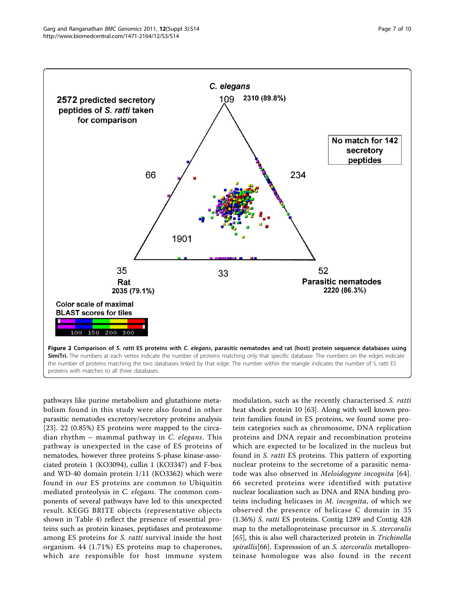<span id="page-6-0"></span>

pathways like purine metabolism and glutathione metabolism found in this study were also found in other parasitic nematodes excretory/secretory proteins analysis [[23](#page-8-0)]. 22 (0.85%) ES proteins were mapped to the circadian rhythm - mammal pathway in C. elegans. This pathway is unexpected in the case of ES proteins of nematodes, however three proteins S-phase kinase-associated protein 1 (KO3094), cullin 1 (KO3347) and F-box and WD-40 domain protein 1/11 (KO3362) which were found in our ES proteins are common to Ubiquitin mediated proteolysis in C. elegans. The common components of several pathways have led to this unexpected result. KEGG BRITE objects (representative objects shown in Table [4](#page-5-0)) reflect the presence of essential proteins such as protein kinases, peptidases and proteasome among ES proteins for S. ratti survival inside the host organism. 44 (1.71%) ES proteins map to chaperones, which are responsible for host immune system

modulation, such as the recently characterised S. ratti heat shock protein 10 [[63\]](#page-9-0). Along with well known protein families found in ES proteins, we found some protein categories such as chromosome, DNA replication proteins and DNA repair and recombination proteins which are expected to be localized in the nucleus but found in S. ratti ES proteins. This pattern of exporting nuclear proteins to the secretome of a parasitic nema-tode was also observed in Meloidogyne incognita [[64](#page-9-0)]. 66 secreted proteins were identified with putative nuclear localization such as DNA and RNA binding proteins including helicases in M. incognita, of which we observed the presence of helicase C domain in 35 (1.36%) S. ratti ES proteins. Contig 1289 and Contig 428 map to the metalloproteinase precursor in S. stercoralis [[65](#page-9-0)], this is also well characterized protein in Trichinella spirallis[66]. Expresssion of an S. stercoralis metalloproteinase homologue was also found in the recent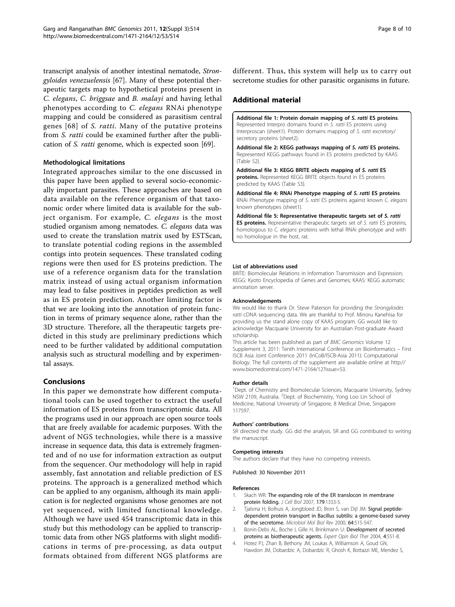<span id="page-7-0"></span>transcript analysis of another intestinal nematode, Strongyloides venezuelensis [[67\]](#page-9-0). Many of these potential therapeutic targets map to hypothetical proteins present in C. elegans, C. briggsae and B. malayi and having lethal phenotypes according to C. elegans RNAi phenotype mapping and could be considered as parasitism central genes [[68](#page-9-0)] of S. ratti. Many of the putative proteins from S. ratti could be examined further after the publication of S. ratti genome, which is expected soon [[69](#page-9-0)].

#### Methodological limitations

Integrated approaches similar to the one discussed in this paper have been applied to several socio-economically important parasites. These approaches are based on data available on the reference organism of that taxonomic order where limited data is available for the subject organism. For example, C. elegans is the most studied organism among nematodes. C. elegans data was used to create the translation matrix used by ESTScan, to translate potential coding regions in the assembled contigs into protein sequences. These translated coding regions were then used for ES proteins prediction. The use of a reference organism data for the translation matrix instead of using actual organism information may lead to false positives in peptides prediction as well as in ES protein prediction. Another limiting factor is that we are looking into the annotation of protein function in terms of primary sequence alone, rather than the 3D structure. Therefore, all the therapeutic targets predicted in this study are preliminary predictions which need to be further validated by additional computation analysis such as structural modelling and by experimental assays.

### Conclusions

In this paper we demonstrate how different computational tools can be used together to extract the useful information of ES proteins from transcriptomic data. All the programs used in our approach are open source tools that are freely available for academic purposes. With the advent of NGS technologies, while there is a massive increase in sequence data, this data is extremely fragmented and of no use for information extraction as output from the sequencer. Our methodology will help in rapid assembly, fast annotation and reliable prediction of ES proteins. The approach is a generalized method which can be applied to any organism, although its main application is for neglected organisms whose genomes are not yet sequenced, with limited functional knowledge. Although we have used 454 transcriptomic data in this study but this methodology can be applied to transcriptomic data from other NGS platforms with slight modifications in terms of pre-processing, as data output formats obtained from different NGS platforms are

different. Thus, this system will help us to carry out secretome studies for other parasitic organisms in future.

#### Additional material

[Additional file 1: P](http://www.biomedcentral.com/content/supplementary/1471-2164-12-S3-S14-S1.xls)rotein domain mapping of S. ratti ES proteins. Represented Interpro domains found in S. ratti ES proteins using Interproscan (sheet1). Protein domains mapping of S. ratti excretory/ secretory proteins (sheet2).

[Additional file 2: K](http://www.biomedcentral.com/content/supplementary/1471-2164-12-S3-S14-S2.pdf)EGG pathways mapping of S. ratti ES proteins. Represented KEGG pathways found in ES proteins predicted by KAAS (Table S2).

[Additional file 3: K](http://www.biomedcentral.com/content/supplementary/1471-2164-12-S3-S14-S3.pdf)EGG BRITE objects mapping of S. ratti ES proteins. Represented KEGG BRITE objects found in ES proteins predicted by KAAS (Table S3).

[Additional file 4: R](http://www.biomedcentral.com/content/supplementary/1471-2164-12-S3-S14-S4.xls)NAi Phenotype mapping of S. ratti ES proteins. RNAi Phenotype mapping of S. ratti ES proteins against known C. elegans known phenotypes (sheet1).

[Additional file 5: R](http://www.biomedcentral.com/content/supplementary/1471-2164-12-S3-S14-S5.pdf)epresentative therapeutic targets set of S. ratti **ES proteins.** Representative therapeutic targets set of S. ratti ES proteins, homologous to C. elegans proteins with lethal RNAi phenotype and with no homologue in the host, rat.

#### List of abbreviations used

BRITE: Biomolecular Relations in Information Transmission and Expression; KEGG: Kyoto Encyclopedia of Genes and Genomes; KAAS: KEGG automatic annotation server.

#### Acknowledgements

We would like to thank Dr. Steve Paterson for providing the Strongyloides ratti cDNA sequencing data. We are thankful to Prof. Minoru Kanehisa for providing us the stand alone copy of KAAS program. GG would like to acknowledge Macquarie University for an Australian Post-graduate Award scholarship.

This article has been published as part of BMC Genomics Volume 12 Supplement 3, 2011: Tenth International Conference on Bioinformatics – First ISCB Asia Joint Conference 2011 (InCoB/ISCB-Asia 2011): Computational Biology. The full contents of the supplement are available online at [http://](http://www.biomedcentral.com/1471-2164/12?issue=S3) [www.biomedcentral.com/1471-2164/12?issue=S3](http://www.biomedcentral.com/1471-2164/12?issue=S3).

#### Author details

<sup>1</sup>Dept. of Chemistry and Biomolecular Sciences, Macquarie University, Sydney NSW 2109, Australia. <sup>2</sup>Dept. of Biochemistry, Yong Loo Lin School of Medicine, National University of Singapore, 8 Medical Drive, Singapore 117597.

#### Authors' contributions

SR directed the study. GG did the analysis. SR and GG contributed to writing the manuscript.

#### Competing interests

The authors declare that they have no competing interests.

Published: 30 November 2011

#### References

- 1. Skach WR: [The expanding role of the ER translocon in membrane](http://www.ncbi.nlm.nih.gov/pubmed/18166647?dopt=Abstract) [protein folding.](http://www.ncbi.nlm.nih.gov/pubmed/18166647?dopt=Abstract) J Cell Biol 2007, 179:1333-5.
- 2. Tjalsma H, Bolhuis A, Jongbloed JD, Bron S, van Dijl JM: [Signal peptide](http://www.ncbi.nlm.nih.gov/pubmed/10974125?dopt=Abstract)[dependent protein transport in Bacillus subtilis: a genome-based survey](http://www.ncbi.nlm.nih.gov/pubmed/10974125?dopt=Abstract) [of the secretome.](http://www.ncbi.nlm.nih.gov/pubmed/10974125?dopt=Abstract) Microbiol Mol Biol Rev 2000, 64:515-547.
- Bonin-Debs AL, Boche I, Gille H, Brinkmann U: [Development of secreted](http://www.ncbi.nlm.nih.gov/pubmed/15102604?dopt=Abstract) [proteins as biotherapeutic agents.](http://www.ncbi.nlm.nih.gov/pubmed/15102604?dopt=Abstract) Expert Opin Biol Ther 2004, 4:551-8.
- 4. Hotez PJ, Zhan B, Bethony JM, Loukas A, Williamson A, Goud GN, Hawdon JM, Dobardzic A, Dobardzic R, Ghosh K, Bottazzi ME, Mendez S,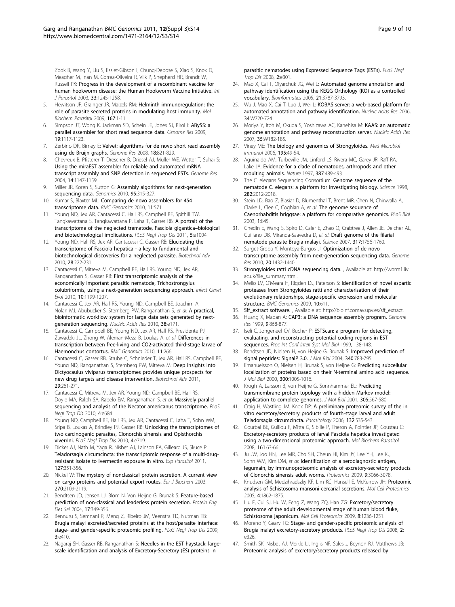<span id="page-8-0"></span>Zook B, Wang Y, Liu S, Essiet-Gibson I, Chung-Debose S, Xiao S, Knox D, Meagher M, Inan M, Correa-Oliveira R, Vilk P, Shepherd HR, Brandt W, Russell PK: [Progress in the development of a recombinant vaccine for](http://www.ncbi.nlm.nih.gov/pubmed/13678639?dopt=Abstract) [human hookworm disease: the Human Hookworm Vaccine Initiative.](http://www.ncbi.nlm.nih.gov/pubmed/13678639?dopt=Abstract) Int J Parasitol 2003, 33:1245-1258.

- 5. Hewitson JP, Grainger JR, Maizels RM: [Helminth immunoregulation: the](http://www.ncbi.nlm.nih.gov/pubmed/19406170?dopt=Abstract) [role of parasite secreted proteins in modulating host immunity.](http://www.ncbi.nlm.nih.gov/pubmed/19406170?dopt=Abstract) Mol Biochem Parasitol 2009, 167:1-11.
- Simpson JT, Wong K, Jackman SD, Schein JE, Jones SJ, Birol I: [ABySS: a](http://www.ncbi.nlm.nih.gov/pubmed/19251739?dopt=Abstract) [parallel assembler for short read sequence data.](http://www.ncbi.nlm.nih.gov/pubmed/19251739?dopt=Abstract) Genome Res 2009, 19:1117-1123.
- 7. Zerbino DR, Birney E: [Velvet: algorithms for de novo short read assembly](http://www.ncbi.nlm.nih.gov/pubmed/18349386?dopt=Abstract) [using de Bruijn graphs.](http://www.ncbi.nlm.nih.gov/pubmed/18349386?dopt=Abstract) Genome Res 2008, 18:821-829.
- Chevreux B, Pfisterer T, Drescher B, Driesel AJ, Muller WE, Wetter T, Suhai S: [Using the miraEST assembler for reliable and automated mRNA](http://www.ncbi.nlm.nih.gov/pubmed/15140833?dopt=Abstract) [transcript assembly and SNP detection in sequenced ESTs.](http://www.ncbi.nlm.nih.gov/pubmed/15140833?dopt=Abstract) Genome Res 2004, 14:1147-1159.
- 9. Miller JR, Koren S, Sutton G: [Assembly algorithms for next-generation](http://www.ncbi.nlm.nih.gov/pubmed/20211242?dopt=Abstract) [sequencing data.](http://www.ncbi.nlm.nih.gov/pubmed/20211242?dopt=Abstract) Genomics 2010, 95:315-327.
- 10. Kumar S, Blaxter ML: [Comparing de novo assemblers for 454](http://www.ncbi.nlm.nih.gov/pubmed/20950480?dopt=Abstract) [transcriptome data.](http://www.ncbi.nlm.nih.gov/pubmed/20950480?dopt=Abstract) BMC Genomics 2010, 11:571.
- 11. Young ND, Jex AR, Cantacessi C, Hall RS, Campbell BE, Spithill TW, Tangkawattana S, Tangkawattana P, Laha T, Gasser RB: [A portrait of the](http://www.ncbi.nlm.nih.gov/pubmed/21408104?dopt=Abstract) [transcriptome of the neglected trematode, Fasciola gigantica](http://www.ncbi.nlm.nih.gov/pubmed/21408104?dopt=Abstract)–biological [and biotechnological implications.](http://www.ncbi.nlm.nih.gov/pubmed/21408104?dopt=Abstract) PLoS Neal Trop Dis 2011, 5:e1004.
- 12. Young ND, Hall RS, Jex AR, Cantacessi C, Gasser RB: [Elucidating the](http://www.ncbi.nlm.nih.gov/pubmed/20006979?dopt=Abstract) [transcriptome of Fasciola hepatica - a key to fundamental and](http://www.ncbi.nlm.nih.gov/pubmed/20006979?dopt=Abstract) [biotechnological discoveries for a neglected parasite.](http://www.ncbi.nlm.nih.gov/pubmed/20006979?dopt=Abstract) Biotechnol Adv 2010, 28:222-231.
- 13. Cantacessi C, Mitreva M, Campbell BE, Hall RS, Young ND, Jex AR, Ranganathan S, Gasser RB: [First transcriptomic analysis of the](http://www.ncbi.nlm.nih.gov/pubmed/20692378?dopt=Abstract) [economically important parasitic nematode, Trichostrongylus](http://www.ncbi.nlm.nih.gov/pubmed/20692378?dopt=Abstract) [colubriformis, using a next-generation sequencing approach.](http://www.ncbi.nlm.nih.gov/pubmed/20692378?dopt=Abstract) Infect Genet Evol 2010, 10:1199-1207.
- 14. Cantacessi C, Jex AR, Hall RS, Young ND, Campbell BE, Joachim A, Nolan MJ, Abubucker S, Sternberg PW, Ranganathan S, et al: [A practical,](http://www.ncbi.nlm.nih.gov/pubmed/20682560?dopt=Abstract) [bioinformatic workflow system for large data sets generated by next](http://www.ncbi.nlm.nih.gov/pubmed/20682560?dopt=Abstract)[generation sequencing.](http://www.ncbi.nlm.nih.gov/pubmed/20682560?dopt=Abstract) Nucleic Acids Res 2010, 38:e171.
- 15. Cantacessi C, Campbell BE, Young ND, Jex AR, Hall RS, Presidente PJ, Zawadzki JL, Zhong W, Aleman-Meza B, Loukas A, et al: [Differences in](http://www.ncbi.nlm.nih.gov/pubmed/20420710?dopt=Abstract) [transcription between free-living and CO2-activated third-stage larvae of](http://www.ncbi.nlm.nih.gov/pubmed/20420710?dopt=Abstract) [Haemonchus contortus.](http://www.ncbi.nlm.nih.gov/pubmed/20420710?dopt=Abstract) BMC Genomics 2010, 11:266.
- 16. Cantacessi C, Gasser RB, Strube C, Schnieder T, Jex AR, Hall RS, Campbell BE, Young ND, Ranganathan S, Sternberg PW, Mitreva M: [Deep insights into](http://www.ncbi.nlm.nih.gov/pubmed/21182926?dopt=Abstract) Dictyocaulus [viviparus transcriptomes provides unique prospects for](http://www.ncbi.nlm.nih.gov/pubmed/21182926?dopt=Abstract) [new drug targets and disease intervention.](http://www.ncbi.nlm.nih.gov/pubmed/21182926?dopt=Abstract) Biotechnol Adv 2011, 29:261-271.
- 17. Cantacessi C, Mitreva M, Jex AR, Young ND, Campbell BE, Hall RS, Doyle MA, Ralph SA, Rabelo EM, Ranganathan S, et al: [Massively parallel](http://www.ncbi.nlm.nih.gov/pubmed/20485481?dopt=Abstract) [sequencing and analysis of the Necator americanus transcriptome.](http://www.ncbi.nlm.nih.gov/pubmed/20485481?dopt=Abstract) PLoS Negl Trop Dis 2010, 4:e684.
- 18. Young ND, Campbell BE, Hall RS, Jex AR, Cantacessi C, Laha T, Sohn WM, Sripa B, Loukas A, Brindley PJ, Gasser RB: [Unlocking the transcriptomes of](http://www.ncbi.nlm.nih.gov/pubmed/20582164?dopt=Abstract) [two carcinogenic parasites, Clonorchis sinensis and Opisthorchis](http://www.ncbi.nlm.nih.gov/pubmed/20582164?dopt=Abstract) [viverrini.](http://www.ncbi.nlm.nih.gov/pubmed/20582164?dopt=Abstract) PLoS Negl Trop Dis 2010, 4:e719.
- 19. Dicker AJ, Nath M, Yaga R, Nisbet AJ, Lainson FA, Gilleard JS, Skuce PJ: [Teladorsagia circumcincta: the transcriptomic response of a multi-drug](http://www.ncbi.nlm.nih.gov/pubmed/20816955?dopt=Abstract)[resistant isolate to ivermectin exposure in vitro.](http://www.ncbi.nlm.nih.gov/pubmed/20816955?dopt=Abstract) Exp Parasitol 2011, 127:351-356.
- 20. Nickel W: [The mystery of nonclassical protein secretion. A current view](http://www.ncbi.nlm.nih.gov/pubmed/12752430?dopt=Abstract) [on cargo proteins and potential export routes.](http://www.ncbi.nlm.nih.gov/pubmed/12752430?dopt=Abstract) Eur J Biochem 2003, 270:2109-2119.
- 21. Bendtsen JD, Jensen LJ, Blom N, Von Heijne G, Brunak S: [Feature-based](http://www.ncbi.nlm.nih.gov/pubmed/15115854?dopt=Abstract) [prediction of non-classical and leaderless protein secretion.](http://www.ncbi.nlm.nih.gov/pubmed/15115854?dopt=Abstract) Protein Eng Des Sel 2004, 17:349-356.
- 22. Bennuru S, Semnani R, Meng Z, Ribeiro JM, Veenstra TD, Nutman TB: [Brugia malayi excreted/secreted proteins at the host/parasite interface:](http://www.ncbi.nlm.nih.gov/pubmed/19352421?dopt=Abstract) [stage- and gender-specific proteomic profiling.](http://www.ncbi.nlm.nih.gov/pubmed/19352421?dopt=Abstract) PLoS Negl Trop Dis 2009, 3:e410.
- 23. Nagaraj SH, Gasser RB, Ranganathan S: [Needles in the EST haystack: large](http://www.ncbi.nlm.nih.gov/pubmed/18820748?dopt=Abstract)[scale identification and analysis of Excretory-Secretory \(ES\) proteins in](http://www.ncbi.nlm.nih.gov/pubmed/18820748?dopt=Abstract)

[parasitic nematodes using Expressed Sequence Tags \(ESTs\).](http://www.ncbi.nlm.nih.gov/pubmed/18820748?dopt=Abstract) PLoS Negl Trop Dis 2008, 2:e301.

- 24. Mao X, Cai T, Olyarchuk JG, Wei L: [Automated genome annotation and](http://www.ncbi.nlm.nih.gov/pubmed/15817693?dopt=Abstract) [pathway identification using the KEGG Orthology \(KO\) as a controlled](http://www.ncbi.nlm.nih.gov/pubmed/15817693?dopt=Abstract) [vocabulary.](http://www.ncbi.nlm.nih.gov/pubmed/15817693?dopt=Abstract) Bioinformatics 2005, 21:3787-3793.
- 25. Wu J, Mao X, Cai T, Luo J, Wei L: [KOBAS server: a web-based platform for](http://www.ncbi.nlm.nih.gov/pubmed/16845106?dopt=Abstract) [automated annotation and pathway identification.](http://www.ncbi.nlm.nih.gov/pubmed/16845106?dopt=Abstract) Nucleic Acids Res 2006, 34:W720-724.
- 26. Moriya Y, Itoh M, Okuda S, Yoshizawa AC, Kanehisa M: [KAAS: an automatic](http://www.ncbi.nlm.nih.gov/pubmed/17526522?dopt=Abstract) [genome annotation and pathway reconstruction server.](http://www.ncbi.nlm.nih.gov/pubmed/17526522?dopt=Abstract) Nucleic Acids Res 2007, 35:W182-185.
- 27. Viney ME: [The biology and genomics of Strongyloides.](http://www.ncbi.nlm.nih.gov/pubmed/16538445?dopt=Abstract) Med Microbiol Immunol 2006, 195:49-54.
- 28. Aguinaldo AM, Turbeville JM, Linford LS, Rivera MC, Garey JR, Raff RA, Lake JA: [Evidence for a clade of nematodes, arthropods and other](http://www.ncbi.nlm.nih.gov/pubmed/9168109?dopt=Abstract) [moulting animals.](http://www.ncbi.nlm.nih.gov/pubmed/9168109?dopt=Abstract) Nature 1997, 387:489-493.
- 29. The C. elegans Sequencing Consortium: [Genome sequence of the](http://www.ncbi.nlm.nih.gov/pubmed/9851916?dopt=Abstract) [nematode C. elegans: a platform for investigating biology.](http://www.ncbi.nlm.nih.gov/pubmed/9851916?dopt=Abstract) Science 1998, 282:2012-2018.
- 30. Stein LD, Bao Z, Blasiar D, Blumenthal T, Brent MR, Chen N, Chinwalla A, Clarke L, Clee C, Coghlan A, et al: [The genome sequence of](http://www.ncbi.nlm.nih.gov/pubmed/14624247?dopt=Abstract) [Caenorhabditis briggsae: a platform for comparative genomics.](http://www.ncbi.nlm.nih.gov/pubmed/14624247?dopt=Abstract) PLoS Biol 2003, 1:E45.
- 31. Ghedin E, Wang S, Spiro D, Caler E, Zhao Q, Crabtree J, Allen JE, Delcher AL, Guiliano DB, Miranda-Saavedra D, et al: [Draft genome of the filarial](http://www.ncbi.nlm.nih.gov/pubmed/17885136?dopt=Abstract) [nematode parasite Brugia malayi.](http://www.ncbi.nlm.nih.gov/pubmed/17885136?dopt=Abstract) Science 2007, 317:1756-1760.
- Surget-Groba Y, Montoya-Burgos JI: [Optimization of de novo](http://www.ncbi.nlm.nih.gov/pubmed/20693479?dopt=Abstract) [transcriptome assembly from next-generation sequencing data.](http://www.ncbi.nlm.nih.gov/pubmed/20693479?dopt=Abstract) Genome Res 2010, 20:1432-1440.
- 33. Strongyloides ratti cDNA sequencing data. , Available at: http://worm1.liv. ac.uk/file\_summary.html.
- 34. Mello LV, O'Meara H, Rigden DJ, Paterson S: [Identification of novel aspartic](http://www.ncbi.nlm.nih.gov/pubmed/20015380?dopt=Abstract) [proteases from Strongyloides ratti and characterisation of their](http://www.ncbi.nlm.nih.gov/pubmed/20015380?dopt=Abstract) [evolutionary relationships, stage-specific expression and molecular](http://www.ncbi.nlm.nih.gov/pubmed/20015380?dopt=Abstract) [structure.](http://www.ncbi.nlm.nih.gov/pubmed/20015380?dopt=Abstract) BMC Genomics 2009, 10:611.
- 35. Sff\_extract software., Available at: http://bioinf.comav.upv.es/sff\_extract.
- Huang X, Madan A: [CAP3: a DNA sequence assembly program.](http://www.ncbi.nlm.nih.gov/pubmed/10508846?dopt=Abstract) Genome Res 1999, 9:868-877.
- 37. Iseli C, Jongeneel CV, Bucher P: [ESTScan: a program for detecting,](http://www.ncbi.nlm.nih.gov/pubmed/10786296?dopt=Abstract) [evaluating, and reconstructing potential coding regions in EST](http://www.ncbi.nlm.nih.gov/pubmed/10786296?dopt=Abstract) [sequences.](http://www.ncbi.nlm.nih.gov/pubmed/10786296?dopt=Abstract) Proc Int Conf Intell Syst Mol Biol 1999, 138-148.
- 38. Bendtsen JD, Nielsen H, von Heijne G, Brunak S: [Improved prediction of](http://www.ncbi.nlm.nih.gov/pubmed/15223320?dopt=Abstract) [signal peptides: SignalP 3.0.](http://www.ncbi.nlm.nih.gov/pubmed/15223320?dopt=Abstract) J Mol Biol 2004, 340:783-795.
- 39. Emanuelsson O, Nielsen H, Brunak S, von Heijne G: [Predicting subcellular](http://www.ncbi.nlm.nih.gov/pubmed/10891285?dopt=Abstract) [localization of proteins based on their N-terminal amino acid sequence.](http://www.ncbi.nlm.nih.gov/pubmed/10891285?dopt=Abstract) J Mol Biol 2000, 300:1005-1016.
- 40. Krogh A, Larsson B, von Heijne G, Sonnhammer EL: [Predicting](http://www.ncbi.nlm.nih.gov/pubmed/11152613?dopt=Abstract) [transmembrane protein topology with a hidden Markov model:](http://www.ncbi.nlm.nih.gov/pubmed/11152613?dopt=Abstract) [application to complete genomes.](http://www.ncbi.nlm.nih.gov/pubmed/11152613?dopt=Abstract) J Mol Biol 2001, 305:567-580.
- 41. Craig H, Wastling JM, Knox DP: [A preliminary proteomic survey of the in](http://www.ncbi.nlm.nih.gov/pubmed/16388693?dopt=Abstract) [vitro excretory/secretory products of fourth-stage larval and adult](http://www.ncbi.nlm.nih.gov/pubmed/16388693?dopt=Abstract) [Teladorsagia circumcincta.](http://www.ncbi.nlm.nih.gov/pubmed/16388693?dopt=Abstract) Parasitology 2006, 132:535-543.
- 42. Gourbal BE, Guillou F, Mitta G, Sibille P, Theron A, Pointier JP, Coustau C: [Excretory-secretory products of larval Fasciola hepatica investigated](http://www.ncbi.nlm.nih.gov/pubmed/18556074?dopt=Abstract) [using a two-dimensional proteomic approach.](http://www.ncbi.nlm.nih.gov/pubmed/18556074?dopt=Abstract) Mol Biochem Parasitol 2008, 161:63-66.
- 43. Ju JW, Joo HN, Lee MR, Cho SH, Cheun HI, Kim JY, Lee YH, Lee KJ, Sohn WM, Kim DM, et al: [Identification of a serodiagnostic antigen,](http://www.ncbi.nlm.nih.gov/pubmed/19526557?dopt=Abstract) [legumain, by immunoproteomic analysis of excretory-secretory products](http://www.ncbi.nlm.nih.gov/pubmed/19526557?dopt=Abstract) [of Clonorchis sinensis adult worms.](http://www.ncbi.nlm.nih.gov/pubmed/19526557?dopt=Abstract) Proteomics 2009, 9:3066-3078.
- 44. Knudsen GM, Medzihradszky KF, Lim KC, Hansell E, McKerrow JH: [Proteomic](http://www.ncbi.nlm.nih.gov/pubmed/16112986?dopt=Abstract) [analysis of Schistosoma mansoni cercarial secretions.](http://www.ncbi.nlm.nih.gov/pubmed/16112986?dopt=Abstract) Mol Cell Proteomics 2005, 4:1862-1875.
- 45. Liu F, Cui SJ, Hu W, Feng Z, Wang ZQ, Han ZG: [Excretory/secretory](http://www.ncbi.nlm.nih.gov/pubmed/19299421?dopt=Abstract) [proteome of the adult developmental stage of human blood fluke,](http://www.ncbi.nlm.nih.gov/pubmed/19299421?dopt=Abstract) [Schistosoma japonicum.](http://www.ncbi.nlm.nih.gov/pubmed/19299421?dopt=Abstract) Mol Cell Proteomics 2009, 8:1236-1251.
- 46. Moreno Y, Geary TG: [Stage- and gender-specific proteomic analysis of](http://www.ncbi.nlm.nih.gov/pubmed/18958170?dopt=Abstract) [Brugia malayi excretory-secretory products.](http://www.ncbi.nlm.nih.gov/pubmed/18958170?dopt=Abstract) PLoS Negl Trop Dis 2008, 2: e326.
- 47. Smith SK, Nisbet AJ, Meikle LI, Inglis NF, Sales J, Beynon RJ, Matthews JB: [Proteomic analysis of excretory/secretory products released by](http://www.ncbi.nlm.nih.gov/pubmed/19121079?dopt=Abstract)